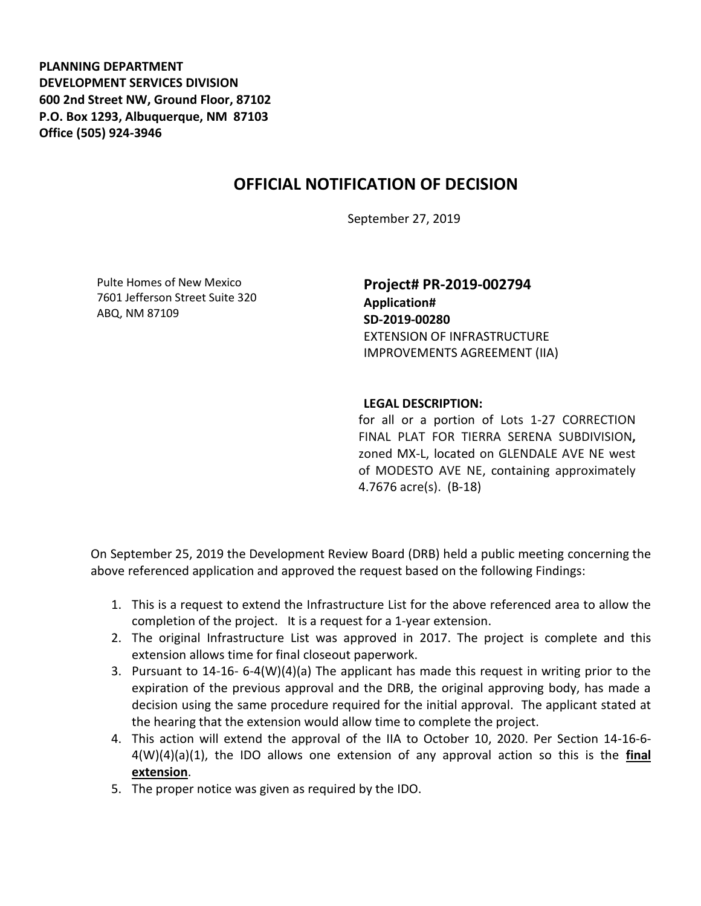**PLANNING DEPARTMENT DEVELOPMENT SERVICES DIVISION 600 2nd Street NW, Ground Floor, 87102 P.O. Box 1293, Albuquerque, NM 87103 Office (505) 924-3946** 

## **OFFICIAL NOTIFICATION OF DECISION**

September 27, 2019

Pulte Homes of New Mexico 7601 Jefferson Street Suite 320 ABQ, NM 87109

**Project# PR-2019-002794 Application# SD-2019-00280** EXTENSION OF INFRASTRUCTURE IMPROVEMENTS AGREEMENT (IIA)

## **LEGAL DESCRIPTION:**

for all or a portion of Lots 1-27 CORRECTION FINAL PLAT FOR TIERRA SERENA SUBDIVISION**,**  zoned MX-L, located on GLENDALE AVE NE west of MODESTO AVE NE, containing approximately 4.7676 acre(s). (B-18)

On September 25, 2019 the Development Review Board (DRB) held a public meeting concerning the above referenced application and approved the request based on the following Findings:

- 1. This is a request to extend the Infrastructure List for the above referenced area to allow the completion of the project. It is a request for a 1-year extension.
- 2. The original Infrastructure List was approved in 2017. The project is complete and this extension allows time for final closeout paperwork.
- 3. Pursuant to 14-16- 6-4(W)(4)(a) The applicant has made this request in writing prior to the expiration of the previous approval and the DRB, the original approving body, has made a decision using the same procedure required for the initial approval. The applicant stated at the hearing that the extension would allow time to complete the project.
- 4. This action will extend the approval of the IIA to October 10, 2020. Per Section 14-16-6- 4(W)(4)(a)(1), the IDO allows one extension of any approval action so this is the **final extension**.
- 5. The proper notice was given as required by the IDO.